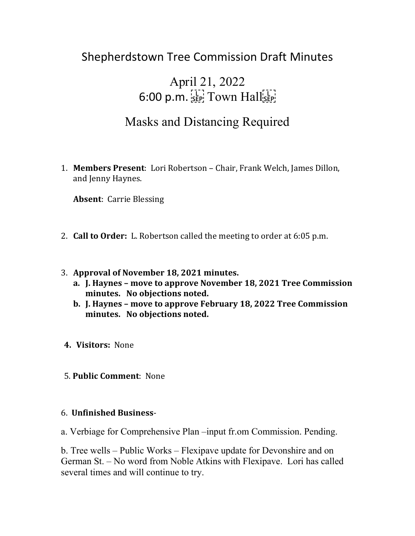## Shepherdstown Tree Commission Draft Minutes

# April 21, 2022  $6:00$  p.m.  $\frac{[1]}{55}$  Town Hall $\frac{[1]}{55}$

## Masks and Distancing Required

1. **Members Present**: Lori Robertson – Chair, Frank Welch, James Dillon, and Jenny Haynes.

**Absent**: Carrie Blessing

- 2. **Call to Order:** L. Robertson called the meeting to order at 6:05 p.m.
- 3. **Approval of November 18, 2021 minutes.** 
	- **a. J. Haynes – move to approve November 18, 2021 Tree Commission minutes. No objections noted.**
	- **b. J. Haynes – move to approve February 18, 2022 Tree Commission minutes. No objections noted.**
- **4. Visitors:** None
- 5. **Public Comment**: None

#### 6. **Unfinished Business**-

a. Verbiage for Comprehensive Plan –input fr.om Commission. Pending.

b. Tree wells – Public Works – Flexipave update for Devonshire and on German St. – No word from Noble Atkins with Flexipave. Lori has called several times and will continue to try.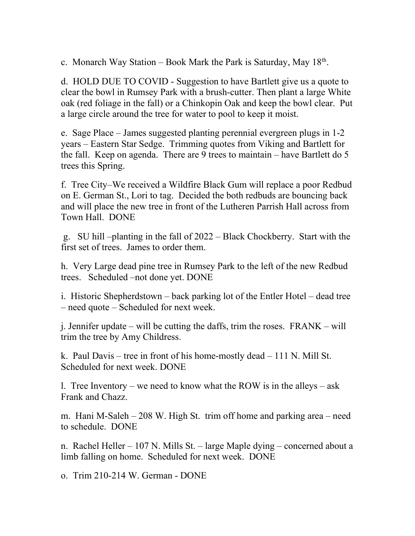c. Monarch Way Station – Book Mark the Park is Saturday, May  $18<sup>th</sup>$ .

d. HOLD DUE TO COVID - Suggestion to have Bartlett give us a quote to clear the bowl in Rumsey Park with a brush-cutter. Then plant a large White oak (red foliage in the fall) or a Chinkopin Oak and keep the bowl clear. Put a large circle around the tree for water to pool to keep it moist.

e. Sage Place – James suggested planting perennial evergreen plugs in 1-2 years – Eastern Star Sedge. Trimming quotes from Viking and Bartlett for the fall. Keep on agenda. There are 9 trees to maintain – have Bartlett do 5 trees this Spring.

f. Tree City–We received a Wildfire Black Gum will replace a poor Redbud on E. German St., Lori to tag. Decided the both redbuds are bouncing back and will place the new tree in front of the Lutheren Parrish Hall across from Town Hall. DONE

g. SU hill –planting in the fall of 2022 – Black Chockberry. Start with the first set of trees. James to order them.

h. Very Large dead pine tree in Rumsey Park to the left of the new Redbud trees. Scheduled –not done yet. DONE

i. Historic Shepherdstown – back parking lot of the Entler Hotel – dead tree – need quote – Scheduled for next week.

j. Jennifer update – will be cutting the daffs, trim the roses. FRANK – will trim the tree by Amy Childress.

k. Paul Davis – tree in front of his home-mostly dead – 111 N. Mill St. Scheduled for next week. DONE

l. Tree Inventory – we need to know what the ROW is in the alleys – ask Frank and Chazz.

m. Hani M-Saleh – 208 W. High St. trim off home and parking area – need to schedule. DONE

n. Rachel Heller – 107 N. Mills St. – large Maple dying – concerned about a limb falling on home. Scheduled for next week. DONE

o. Trim 210-214 W. German - DONE